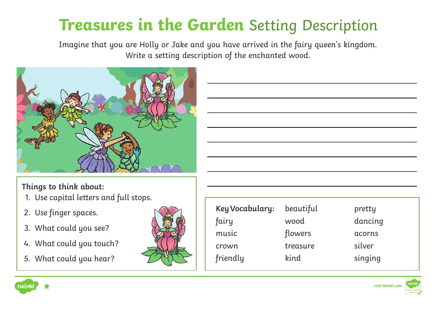## **Treasures in the Garden** Setting Description

Imagine that you are Holly or Jake and you have arrived in the fairy queen's kingdom. Write a setting description of the enchanted wood.



**Things to think about:**

- 1. Use capital letters and full stops.
- 2. Use finger spaces.
- 3. What could you see?
- 4. What could you touch?
- 5. What could you hear?



| Key Vocabulary:<br>fairy | beautiful<br>wood | pretty<br>dancing |
|--------------------------|-------------------|-------------------|
| music                    | flowers           | acorns            |
| crown                    | treasure          | silver            |
| friendly                 | kind              | singing           |



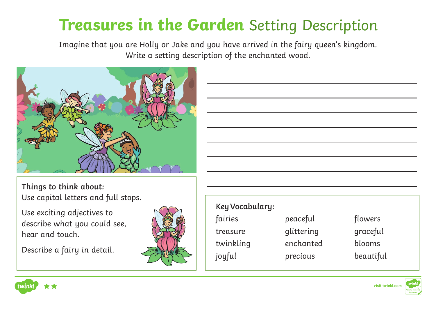## **Treasures in the Garden** Setting Description

Imagine that you are Holly or Jake and you have arrived in the fairy queen's kingdom. Write a setting description of the enchanted wood.



**Things to think about:** Use capital letters and full stops.

Use exciting adjectives to describe what you could see, hear and touch.

Describe a fairy in detail.



| Key Vocabulary:<br>fairies | peaceful              | flowers             |
|----------------------------|-----------------------|---------------------|
| treasure                   | glittering            | graceful            |
| twinkling<br>joyful        | enchanted<br>precious | blooms<br>beautiful |